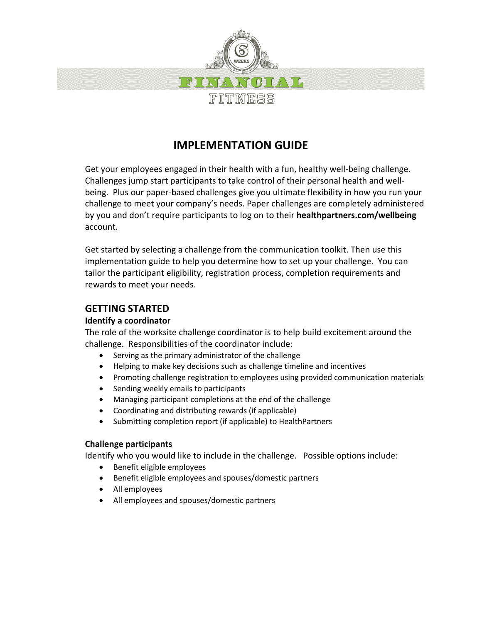

# **IMPLEMENTATION GUIDE**

Get your employees engaged in their health with a fun, healthy well-being challenge. Challenges jump start participants to take control of their personal health and wellbeing. Plus our paper-based challenges give you ultimate flexibility in how you run your challenge to meet your company's needs. Paper challenges are completely administered by you and don't require participants to log on to their **healthpartners.com/wellbeing** account.

Get started by selecting a challenge from the communication toolkit. Then use this implementation guide to help you determine how to set up your challenge. You can tailor the participant eligibility, registration process, completion requirements and rewards to meet your needs.

## **GETTING STARTED**

## **Identify a coordinator**

The role of the worksite challenge coordinator is to help build excitement around the challenge. Responsibilities of the coordinator include:

- Serving as the primary administrator of the challenge
- Helping to make key decisions such as challenge timeline and incentives
- Promoting challenge registration to employees using provided communication materials
- Sending weekly emails to participants
- Managing participant completions at the end of the challenge
- Coordinating and distributing rewards (if applicable)
- Submitting completion report (if applicable) to HealthPartners

#### **Challenge participants**

Identify who you would like to include in the challenge. Possible options include:

- Benefit eligible employees
- Benefit eligible employees and spouses/domestic partners
- All employees
- All employees and spouses/domestic partners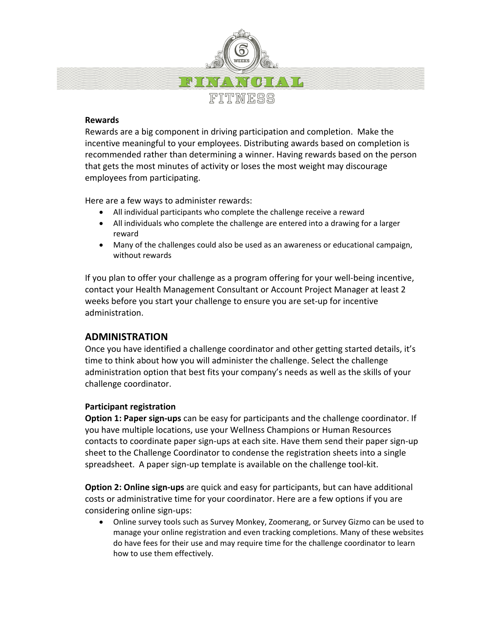

#### **Rewards**

Rewards are a big component in driving participation and completion. Make the incentive meaningful to your employees. Distributing awards based on completion is recommended rather than determining a winner. Having rewards based on the person that gets the most minutes of activity or loses the most weight may discourage employees from participating.

Here are a few ways to administer rewards:

- All individual participants who complete the challenge receive a reward
- All individuals who complete the challenge are entered into a drawing for a larger reward
- Many of the challenges could also be used as an awareness or educational campaign, without rewards

If you plan to offer your challenge as a program offering for your well-being incentive, contact your Health Management Consultant or Account Project Manager at least 2 weeks before you start your challenge to ensure you are set-up for incentive administration.

## **ADMINISTRATION**

Once you have identified a challenge coordinator and other getting started details, it's time to think about how you will administer the challenge. Select the challenge administration option that best fits your company's needs as well as the skills of your challenge coordinator.

#### **Participant registration**

**Option 1: Paper sign-ups** can be easy for participants and the challenge coordinator. If you have multiple locations, use your Wellness Champions or Human Resources contacts to coordinate paper sign-ups at each site. Have them send their paper sign-up sheet to the Challenge Coordinator to condense the registration sheets into a single spreadsheet. A paper sign-up template is available on the challenge tool-kit.

**Option 2: Online sign-ups** are quick and easy for participants, but can have additional costs or administrative time for your coordinator. Here are a few options if you are considering online sign-ups:

• Online survey tools such as Survey Monkey, Zoomerang, or Survey Gizmo can be used to manage your online registration and even tracking completions. Many of these websites do have fees for their use and may require time for the challenge coordinator to learn how to use them effectively.